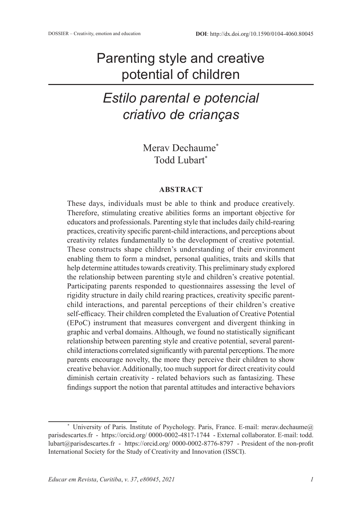## Parenting style and creative potential of children

# *Estilo parental e potencial criativo de crianças*

Merav Dechaume\* Todd Lubart\*

#### **ABSTRACT**

These days, individuals must be able to think and produce creatively. Therefore, stimulating creative abilities forms an important objective for educators and professionals. Parenting style that includes daily child-rearing practices, creativity specific parent-child interactions, and perceptions about creativity relates fundamentally to the development of creative potential. These constructs shape children's understanding of their environment enabling them to form a mindset, personal qualities, traits and skills that help determine attitudes towards creativity. This preliminary study explored the relationship between parenting style and children's creative potential. Participating parents responded to questionnaires assessing the level of rigidity structure in daily child rearing practices, creativity specific parentchild interactions, and parental perceptions of their children's creative self-efficacy. Their children completed the Evaluation of Creative Potential (EPoC) instrument that measures convergent and divergent thinking in graphic and verbal domains. Although, we found no statistically significant relationship between parenting style and creative potential, several parentchild interactions correlated significantly with parental perceptions. The more parents encourage novelty, the more they perceive their children to show creative behavior. Additionally, too much support for direct creativity could diminish certain creativity - related behaviors such as fantasizing. These findings support the notion that parental attitudes and interactive behaviors

<sup>\*</sup> University of Paris. Institute of Psychology. Paris, France. E-mail: merav.dechaume@ parisdescartes.fr - https://orcid.org/ 0000-0002-4817-1744 - External collaborator. E-mail: todd. lubart@parisdescartes.fr - https://orcid.org/ 0000-0002-8776-8797 - President of the non-profit International Society for the Study of Creativity and Innovation (ISSCI).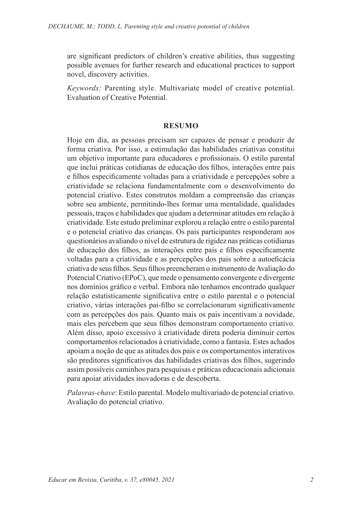are significant predictors of children's creative abilities, thus suggesting possible avenues for further research and educational practices to support novel, discovery activities.

*Keywords:* Parenting style. Multivariate model of creative potential. Evaluation of Creative Potential.

#### **RESUMO**

Hoje em dia, as pessoas precisam ser capazes de pensar e produzir de forma criativa. Por isso, a estimulação das habilidades criativas constitui um objetivo importante para educadores e profissionais. O estilo parental que inclui práticas cotidianas de educação dos filhos, interações entre pais e filhos especificamente voltadas para a criatividade e percepções sobre a criatividade se relaciona fundamentalmente com o desenvolvimento do potencial criativo. Estes construtos moldam a compreensão das crianças sobre seu ambiente, permitindo-lhes formar uma mentalidade, qualidades pessoais, traços e habilidades que ajudam a determinar atitudes em relação à criatividade. Este estudo preliminar explorou a relação entre o estilo parental e o potencial criativo das crianças. Os pais participantes responderam aos questionários avaliando o nível de estrutura de rigidez nas práticas cotidianas de educação dos filhos, as interações entre pais e filhos especificamente voltadas para a criatividade e as percepções dos pais sobre a autoeficácia criativa de seus filhos. Seus filhos preencheram o instrumento de Avaliação do Potencial Criativo (EPoC), que mede o pensamento convergente e divergente nos domínios gráfico e verbal. Embora não tenhamos encontrado qualquer relação estatisticamente significativa entre o estilo parental e o potencial criativo, várias interações pai-filho se correlacionaram significativamente com as percepções dos pais. Quanto mais os pais incentivam a novidade, mais eles percebem que seus filhos demonstram comportamento criativo. Além disso, apoio excessivo à criatividade direta poderia diminuir certos comportamentos relacionados à criatividade, como a fantasia. Estes achados apoiam a noção de que as atitudes dos pais e os comportamentos interativos são preditores significativos das habilidades criativas dos filhos, sugerindo assim possíveis caminhos para pesquisas e práticas educacionais adicionais para apoiar atividades inovadoras e de descoberta.

*Palavras-chave*: Estilo parental. Modelo multivariado de potencial criativo. Avaliação do potencial criativo.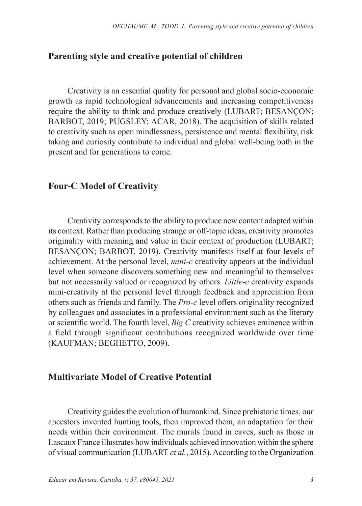#### **Parenting style and creative potential of children**

Creativity is an essential quality for personal and global socio-economic growth as rapid technological advancements and increasing competitiveness require the ability to think and produce creatively (LUBART; BESANÇON; BARBOT, 2019; PUGSLEY; ACAR, 2018). The acquisition of skills related to creativity such as open mindlessness, persistence and mental flexibility, risk taking and curiosity contribute to individual and global well-being both in the present and for generations to come.

#### **Four-C Model of Creativity**

Creativity corresponds to the ability to produce new content adapted within its context. Rather than producing strange or off-topic ideas, creativity promotes originality with meaning and value in their context of production (LUBART; BESANÇON; BARBOT, 2019). Creativity manifests itself at four levels of achievement. At the personal level, *mini-c* creativity appears at the individual level when someone discovers something new and meaningful to themselves but not necessarily valued or recognized by others. *Little-c* creativity expands mini-creativity at the personal level through feedback and appreciation from others such as friends and family. The *Pro-c* level offers originality recognized by colleagues and associates in a professional environment such as the literary or scientific world. The fourth level, *Big C* creativity achieves eminence within a field through significant contributions recognized worldwide over time (KAUFMAN; BEGHETTO, 2009).

#### **Multivariate Model of Creative Potential**

Creativity guides the evolution of humankind. Since prehistoric times, our ancestors invented hunting tools, then improved them, an adaptation for their needs within their environment. The murals found in caves, such as those in Lascaux France illustrates how individuals achieved innovation within the sphere of visual communication (LUBART *et al.*, 2015). According to the Organization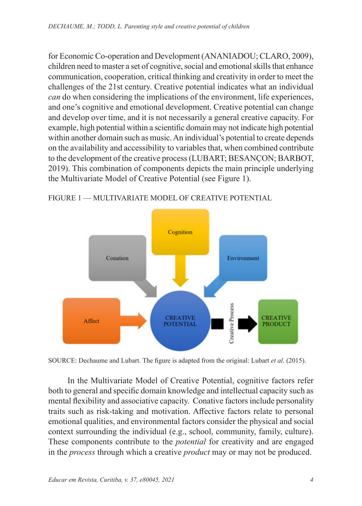for Economic Co-operation and Development (ANANIADOU; CLARO, 2009), children need to master a set of cognitive, social and emotional skills that enhance communication, cooperation, critical thinking and creativity in order to meet the challenges of the 21st century. Creative potential indicates what an individual *can* do when considering the implications of the environment, life experiences, and one's cognitive and emotional development. Creative potential can change and develop over time, and it is not necessarily a general creative capacity. For example, high potential within a scientific domain may not indicate high potential within another domain such as music. An individual's potential to create depends on the availability and accessibility to variables that, when combined contribute to the development of the creative process (LUBART; BESANÇON; BARBOT, 2019). This combination of components depicts the main principle underlying the Multivariate Model of Creative Potential (see Figure 1).



FIGURE 1 — MULTIVARIATE MODEL OF CREATIVE POTENTIAL

SOURCE: Dechaume and Lubart. The figure is adapted from the original: Lubart *et al*. (2015).

In the Multivariate Model of Creative Potential, cognitive factors refer both to general and specific domain knowledge and intellectual capacity such as mental flexibility and associative capacity. Conative factors include personality traits such as risk-taking and motivation. Affective factors relate to personal emotional qualities, and environmental factors consider the physical and social context surrounding the individual (e.g., school, community, family, culture). These components contribute to the *potential* for creativity and are engaged in the *process* through which a creative *product* may or may not be produced.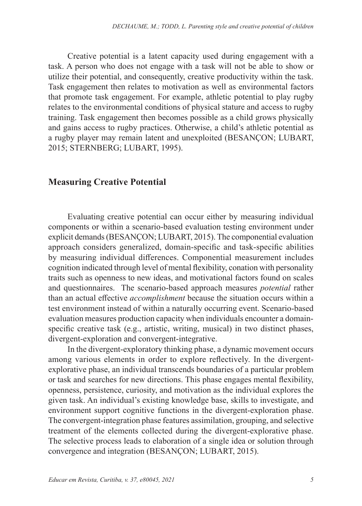Creative potential is a latent capacity used during engagement with a task. A person who does not engage with a task will not be able to show or utilize their potential, and consequently, creative productivity within the task. Task engagement then relates to motivation as well as environmental factors that promote task engagement. For example, athletic potential to play rugby relates to the environmental conditions of physical stature and access to rugby training. Task engagement then becomes possible as a child grows physically and gains access to rugby practices. Otherwise, a child's athletic potential as a rugby player may remain latent and unexploited (BESANÇON; LUBART, 2015; STERNBERG; LUBART, 1995).

#### **Measuring Creative Potential**

Evaluating creative potential can occur either by measuring individual components or within a scenario-based evaluation testing environment under explicit demands (BESANÇON; LUBART, 2015). The componential evaluation approach considers generalized, domain-specific and task-specific abilities by measuring individual differences. Componential measurement includes cognition indicated through level of mental flexibility, conation with personality traits such as openness to new ideas, and motivational factors found on scales and questionnaires. The scenario-based approach measures *potential* rather than an actual effective *accomplishment* because the situation occurs within a test environment instead of within a naturally occurring event. Scenario-based evaluation measures production capacity when individuals encounter a domainspecific creative task (e.g., artistic, writing, musical) in two distinct phases, divergent-exploration and convergent-integrative.

In the divergent-exploratory thinking phase, a dynamic movement occurs among various elements in order to explore reflectively. In the divergentexplorative phase, an individual transcends boundaries of a particular problem or task and searches for new directions. This phase engages mental flexibility, openness, persistence, curiosity, and motivation as the individual explores the given task. An individual's existing knowledge base, skills to investigate, and environment support cognitive functions in the divergent-exploration phase. The convergent-integration phase features assimilation, grouping, and selective treatment of the elements collected during the divergent-explorative phase. The selective process leads to elaboration of a single idea or solution through convergence and integration (BESANÇON; LUBART, 2015).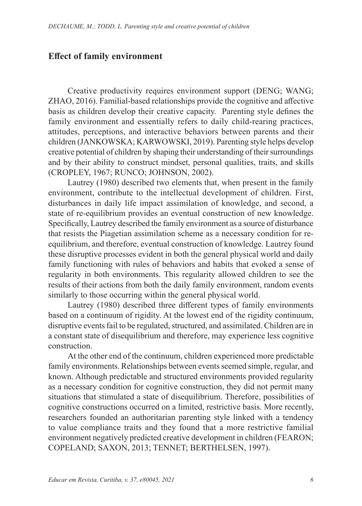## **Effect of family environment**

Creative productivity requires environment support (DENG; WANG; ZHAO, 2016). Familial-based relationships provide the cognitive and affective basis as children develop their creative capacity. Parenting style defines the family environment and essentially refers to daily child-rearing practices, attitudes, perceptions, and interactive behaviors between parents and their children (JANKOWSKA; KARWOWSKI, 2019). Parenting style helps develop creative potential of children by shaping their understanding of their surroundings and by their ability to construct mindset, personal qualities, traits, and skills (CROPLEY, 1967; RUNCO; JOHNSON, 2002).

Lautrey (1980) described two elements that, when present in the family environment, contribute to the intellectual development of children. First, disturbances in daily life impact assimilation of knowledge, and second, a state of re-equilibrium provides an eventual construction of new knowledge. Specifically, Lautrey described the family environment as a source of disturbance that resists the Piagetian assimilation scheme as a necessary condition for reequilibrium, and therefore, eventual construction of knowledge. Lautrey found these disruptive processes evident in both the general physical world and daily family functioning with rules of behaviors and habits that evoked a sense of regularity in both environments. This regularity allowed children to see the results of their actions from both the daily family environment, random events similarly to those occurring within the general physical world.

Lautrey (1980) described three different types of family environments based on a continuum of rigidity. At the lowest end of the rigidity continuum, disruptive events fail to be regulated, structured, and assimilated. Children are in a constant state of disequilibrium and therefore, may experience less cognitive construction.

At the other end of the continuum, children experienced more predictable family environments. Relationships between events seemed simple, regular, and known. Although predictable and structured environments provided regularity as a necessary condition for cognitive construction, they did not permit many situations that stimulated a state of disequilibrium. Therefore, possibilities of cognitive constructions occurred on a limited, restrictive basis. More recently, researchers founded an authoritarian parenting style linked with a tendency to value compliance traits and they found that a more restrictive familial environment negatively predicted creative development in children (FEARON; COPELAND; SAXON, 2013; TENNET; BERTHELSEN, 1997).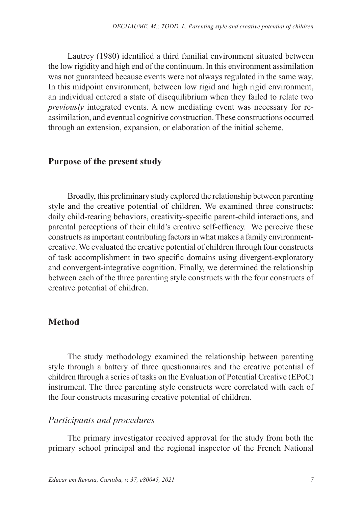Lautrey (1980) identified a third familial environment situated between the low rigidity and high end of the continuum. In this environment assimilation was not guaranteed because events were not always regulated in the same way. In this midpoint environment, between low rigid and high rigid environment, an individual entered a state of disequilibrium when they failed to relate two *previously* integrated events. A new mediating event was necessary for reassimilation, and eventual cognitive construction. These constructions occurred through an extension, expansion, or elaboration of the initial scheme.

### **Purpose of the present study**

Broadly, this preliminary study explored the relationship between parenting style and the creative potential of children. We examined three constructs: daily child-rearing behaviors, creativity-specific parent-child interactions, and parental perceptions of their child's creative self-efficacy. We perceive these constructs as important contributing factors in what makes a family environmentcreative. We evaluated the creative potential of children through four constructs of task accomplishment in two specific domains using divergent-exploratory and convergent-integrative cognition. Finally, we determined the relationship between each of the three parenting style constructs with the four constructs of creative potential of children.

### **Method**

The study methodology examined the relationship between parenting style through a battery of three questionnaires and the creative potential of children through a series of tasks on the Evaluation of Potential Creative (EPoC) instrument. The three parenting style constructs were correlated with each of the four constructs measuring creative potential of children.

#### *Participants and procedures*

The primary investigator received approval for the study from both the primary school principal and the regional inspector of the French National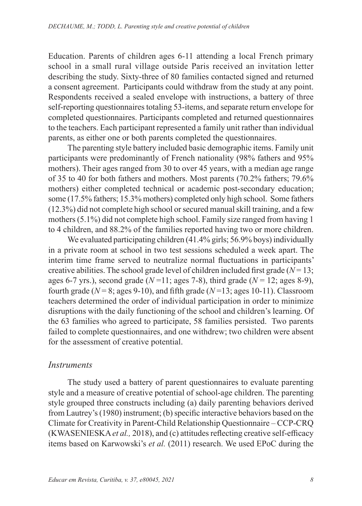Education. Parents of children ages 6-11 attending a local French primary school in a small rural village outside Paris received an invitation letter describing the study. Sixty-three of 80 families contacted signed and returned a consent agreement. Participants could withdraw from the study at any point. Respondents received a sealed envelope with instructions, a battery of three self-reporting questionnaires totaling 53-items, and separate return envelope for completed questionnaires. Participants completed and returned questionnaires to the teachers. Each participant represented a family unit rather than individual parents, as either one or both parents completed the questionnaires.

The parenting style battery included basic demographic items. Family unit participants were predominantly of French nationality (98% fathers and 95% mothers). Their ages ranged from 30 to over 45 years, with a median age range of 35 to 40 for both fathers and mothers. Most parents (70.2% fathers; 79.6% mothers) either completed technical or academic post-secondary education; some (17.5% fathers; 15.3% mothers) completed only high school. Some fathers (12.3%) did not complete high school or secured manual skill training, and a few mothers (5.1%) did not complete high school. Family size ranged from having 1 to 4 children, and 88.2% of the families reported having two or more children.

We evaluated participating children (41.4% girls; 56.9% boys) individually in a private room at school in two test sessions scheduled a week apart. The interim time frame served to neutralize normal fluctuations in participants' creative abilities. The school grade level of children included first grade  $(N = 13;$ ages 6-7 yrs.), second grade (*N* =11; ages 7-8), third grade (*N* = 12; ages 8-9), fourth grade ( $N = 8$ ; ages 9-10), and fifth grade ( $N = 13$ ; ages 10-11). Classroom teachers determined the order of individual participation in order to minimize disruptions with the daily functioning of the school and children's learning. Of the 63 families who agreed to participate, 58 families persisted. Two parents failed to complete questionnaires, and one withdrew; two children were absent for the assessment of creative potential.

#### *Instruments*

The study used a battery of parent questionnaires to evaluate parenting style and a measure of creative potential of school-age children. The parenting style grouped three constructs including (a) daily parenting behaviors derived from Lautrey's (1980) instrument; (b) specific interactive behaviors based on the Climate for Creativity in Parent-Child Relationship Questionnaire – CCP-CRQ (KWASENIESKA *et al.,* 2018), and (c) attitudes reflecting creative self-efficacy items based on Karwowski's *et al.* (2011) research. We used EPoC during the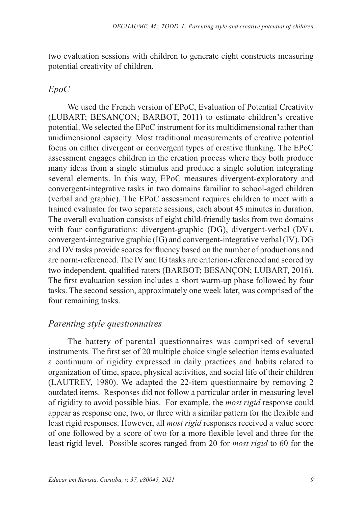two evaluation sessions with children to generate eight constructs measuring potential creativity of children.

### *EpoC*

We used the French version of EPoC, Evaluation of Potential Creativity (LUBART; BESANÇON; BARBOT, 2011) to estimate children's creative potential. We selected the EPoC instrument for its multidimensional rather than unidimensional capacity. Most traditional measurements of creative potential focus on either divergent or convergent types of creative thinking. The EPoC assessment engages children in the creation process where they both produce many ideas from a single stimulus and produce a single solution integrating several elements. In this way, EPoC measures divergent-exploratory and convergent-integrative tasks in two domains familiar to school-aged children (verbal and graphic). The EPoC assessment requires children to meet with a trained evaluator for two separate sessions, each about 45 minutes in duration. The overall evaluation consists of eight child-friendly tasks from two domains with four configurations: divergent-graphic (DG), divergent-verbal (DV), convergent-integrative graphic (IG) and convergent-integrative verbal (IV). DG and DV tasks provide scores for fluency based on the number of productions and are norm-referenced. The IV and IG tasks are criterion-referenced and scored by two independent, qualified raters (BARBOT; BESANÇON; LUBART, 2016). The first evaluation session includes a short warm-up phase followed by four tasks. The second session, approximately one week later, was comprised of the four remaining tasks.

### *Parenting style questionnaires*

The battery of parental questionnaires was comprised of several instruments. The first set of 20 multiple choice single selection items evaluated a continuum of rigidity expressed in daily practices and habits related to organization of time, space, physical activities, and social life of their children (LAUTREY, 1980). We adapted the 22-item questionnaire by removing 2 outdated items. Responses did not follow a particular order in measuring level of rigidity to avoid possible bias. For example, the *most rigid* response could appear as response one, two, or three with a similar pattern for the flexible and least rigid responses. However, all *most rigid* responses received a value score of one followed by a score of two for a more flexible level and three for the least rigid level. Possible scores ranged from 20 for *most rigid* to 60 for the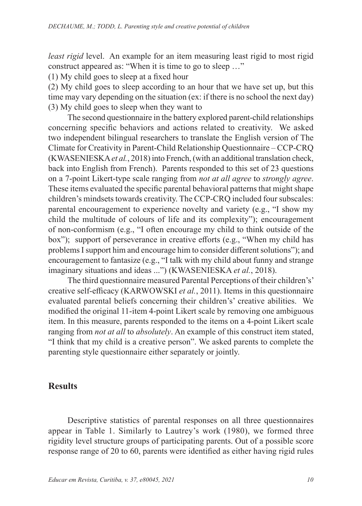*least rigid* level. An example for an item measuring least rigid to most rigid construct appeared as: "When it is time to go to sleep …"

(1) My child goes to sleep at a fixed hour

(2) My child goes to sleep according to an hour that we have set up, but this time may vary depending on the situation (ex: if there is no school the next day) (3) My child goes to sleep when they want to

The second questionnaire in the battery explored parent-child relationships concerning specific behaviors and actions related to creativity. We asked two independent bilingual researchers to translate the English version of The Climate for Creativity in Parent-Child Relationship Questionnaire – CCP-CRQ (KWASENIESKA *et al.*, 2018) into French, (with an additional translation check, back into English from French). Parents responded to this set of 23 questions on a 7-point Likert-type scale ranging from *not at all agree* to *strongly agree*. These items evaluated the specific parental behavioral patterns that might shape children's mindsets towards creativity. The CCP-CRQ included four subscales: parental encouragement to experience novelty and variety (e.g., "I show my child the multitude of colours of life and its complexity"); encouragement of non-conformism (e.g., "I often encourage my child to think outside of the box"); support of perseverance in creative efforts (e.g., "When my child has problems I support him and encourage him to consider different solutions"); and encouragement to fantasize (e.g., "I talk with my child about funny and strange imaginary situations and ideas ...") (KWASENIESKA *et al.*, 2018).

The third questionnaire measured Parental Perceptions of their children's' creative self-efficacy (KARWOWSKI *et al.*, 2011). Items in this questionnaire evaluated parental beliefs concerning their children's' creative abilities. We modified the original 11-item 4-point Likert scale by removing one ambiguous item. In this measure, parents responded to the items on a 4-point Likert scale ranging from *not at all* to *absolutely*. An example of this construct item stated, "I think that my child is a creative person". We asked parents to complete the parenting style questionnaire either separately or jointly.

## **Results**

Descriptive statistics of parental responses on all three questionnaires appear in Table 1. Similarly to Lautrey's work (1980), we formed three rigidity level structure groups of participating parents. Out of a possible score response range of 20 to 60, parents were identified as either having rigid rules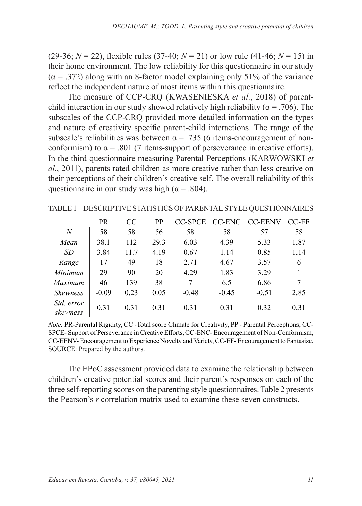(29-36;  $N = 22$ ), flexible rules (37-40;  $N = 21$ ) or low rule (41-46;  $N = 15$ ) in their home environment. The low reliability for this questionnaire in our study  $(\alpha = .372)$  along with an 8-factor model explaining only 51% of the variance reflect the independent nature of most items within this questionnaire.

The measure of CCP-CRQ (KWASENIESKA *et al.*, 2018) of parentchild interaction in our study showed relatively high reliability ( $\alpha$  = .706). The subscales of the CCP-CRQ provided more detailed information on the types and nature of creativity specific parent-child interactions. The range of the subscale's reliabilities was between  $\alpha = .735$  (6 items-encouragement of nonconformism) to  $\alpha$  = .801 (7 items-support of perseverance in creative efforts). In the third questionnaire measuring Parental Perceptions (KARWOWSKI *et al.*, 2011), parents rated children as more creative rather than less creative on their perceptions of their children's creative self. The overall reliability of this questionnaire in our study was high ( $\alpha$  = .804).

|                        | PR      | CC   | PP   | CC-SPCE | CC-ENC  | <b>CC-EENV</b> | CC-EF |
|------------------------|---------|------|------|---------|---------|----------------|-------|
| N                      | 58      | 58   | 56   | 58      | 58      | 57             | 58    |
| Mean                   | 38.1    | 112  | 29.3 | 6.03    | 4.39    | 5.33           | 1.87  |
| SD                     | 3.84    | 11.7 | 4.19 | 0.67    | 1.14    | 0.85           | 1.14  |
| Range                  | 17      | 49   | 18   | 2.71    | 4.67    | 3.57           | 6     |
| Minimum                | 29      | 90   | 20   | 4.29    | 1.83    | 3.29           |       |
| Maximum                | 46      | 139  | 38   | 7       | 6.5     | 6.86           |       |
| <b>Skewness</b>        | $-0.09$ | 0.23 | 0.05 | $-0.48$ | $-0.45$ | $-0.51$        | 2.85  |
| Std. error<br>skewness | 0.31    | 0.31 | 0.31 | 0.31    | 0.31    | 0.32           | 0.31  |

TABLE 1 *–* DESCRIPTIVE STATISTICS OF PARENTAL STYLE QUESTIONNAIRES

*Note.* PR-Parental Rigidity, CC -Total score Climate for Creativity, PP - Parental Perceptions, CC-SPCE- Support of Perseverance in Creative Efforts, CC-ENC- Encouragement of Non-Conformism, CC-EENV- Encouragement to Experience Novelty and Variety, CC-EF- Encouragement to Fantasize. SOURCE: Prepared by the authors.

The EPoC assessment provided data to examine the relationship between children's creative potential scores and their parent's responses on each of the three self-reporting scores on the parenting style questionnaires. Table 2 presents the Pearson's *r* correlation matrix used to examine these seven constructs.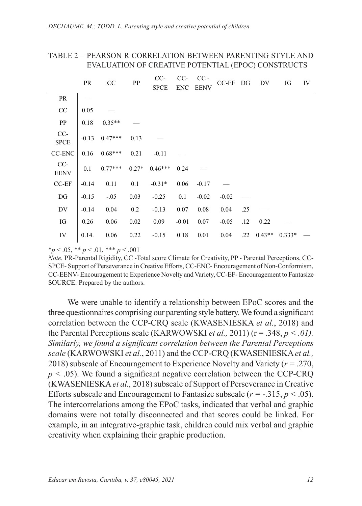#### TABLE 2 – PEARSON R CORRELATION BETWEEN PARENTING STYLE AND EVALUATION OF CREATIVE POTENTIAL (EPOC) CONSTRUCTS

| PR                 |         | CC        | PP          | $CC-$      | $CC-$       | $CC -$  | $CC-EF$ DG |     | DV       | IG       | IV |
|--------------------|---------|-----------|-------------|------------|-------------|---------|------------|-----|----------|----------|----|
|                    |         |           | <b>SPCE</b> | <b>ENC</b> | <b>EENV</b> |         |            |     |          |          |    |
| PR                 |         |           |             |            |             |         |            |     |          |          |    |
| CC                 | 0.05    |           |             |            |             |         |            |     |          |          |    |
| PP                 | 0.18    | $0.35**$  |             |            |             |         |            |     |          |          |    |
| CC-<br><b>SPCE</b> | $-0.13$ | $0.47***$ | 0.13        |            |             |         |            |     |          |          |    |
| CC-ENC             | 0.16    | $0.68***$ | 0.21        | $-0.11$    |             |         |            |     |          |          |    |
| CC-<br><b>EENV</b> | 0.1     | $0.77***$ | $0.27*$     | $0.46***$  | 0.24        |         |            |     |          |          |    |
| $CC-EF$            | $-0.14$ | 0.11      | 0.1         | $-0.31*$   | 0.06        | $-0.17$ |            |     |          |          |    |
| DG                 | $-0.15$ | $-.05$    | 0.03        | $-0.25$    | 0.1         | $-0.02$ | $-0.02$    |     |          |          |    |
| DV                 | $-0.14$ | 0.04      | 0.2         | $-0.13$    | 0.07        | 0.08    | 0.04       | .25 |          |          |    |
| IG                 | 0.26    | 0.06      | 0.02        | 0.09       | $-0.01$     | 0.07    | $-0.05$    | .12 | 0.22     |          |    |
| IV                 | 0.14.   | 0.06      | 0.22        | $-0.15$    | 0.18        | 0.01    | 0.04       | .22 | $0.43**$ | $0.333*$ |    |

\**p* < .05, \*\* *p* < .01, \*\*\* *p* < .001

*Note.* PR-Parental Rigidity, CC -Total score Climate for Creativity, PP - Parental Perceptions, CC-SPCE- Support of Perseverance in Creative Efforts, CC-ENC- Encouragement of Non-Conformism, CC-EENV- Encouragement to Experience Novelty and Variety, CC-EF- Encouragement to Fantasize SOURCE: Prepared by the authors.

We were unable to identify a relationship between EPoC scores and the three questionnaires comprising our parenting style battery. We found a significant correlation between the CCP-CRQ scale (KWASENIESKA *et al.*, 2018) and the Parental Perceptions scale (KARWOWSKI *et al.*, 2011) ( $r = .348$ ,  $p < .01$ ). *Similarly, we found a significant correlation between the Parental Perceptions scale* (KARWOWSKI *et al.*, 2011) and the CCP-CRQ (KWASENIESKA *et al.,*  2018) subscale of Encouragement to Experience Novelty and Variety (*r =* .270,  $p < .05$ ). We found a significant negative correlation between the CCP-CRO (KWASENIESKA *et al.,* 2018) subscale of Support of Perseverance in Creative Efforts subscale and Encouragement to Fantasize subscale  $(r = -0.315, p \le 0.05)$ . The intercorrelations among the EPoC tasks, indicated that verbal and graphic domains were not totally disconnected and that scores could be linked. For example, in an integrative-graphic task, children could mix verbal and graphic creativity when explaining their graphic production.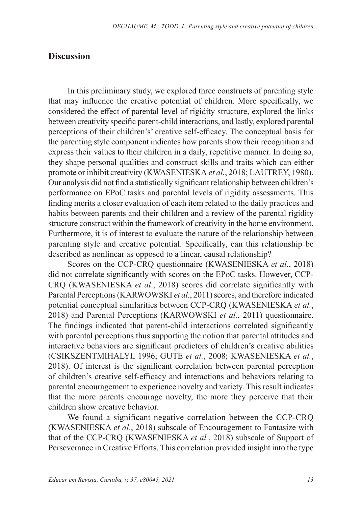#### **Discussion**

In this preliminary study, we explored three constructs of parenting style that may influence the creative potential of children. More specifically, we considered the effect of parental level of rigidity structure, explored the links between creativity specific parent-child interactions, and lastly, explored parental perceptions of their children's' creative self-efficacy. The conceptual basis for the parenting style component indicates how parents show their recognition and express their values to their children in a daily, repetitive manner. In doing so, they shape personal qualities and construct skills and traits which can either promote or inhibit creativity (KWASENIESKA *et al.*, 2018; LAUTREY, 1980). Our analysis did not find a statistically significant relationship between children's performance on EPoC tasks and parental levels of rigidity assessments. This finding merits a closer evaluation of each item related to the daily practices and habits between parents and their children and a review of the parental rigidity structure construct within the framework of creativity in the home environment. Furthermore, it is of interest to evaluate the nature of the relationship between parenting style and creative potential. Specifically, can this relationship be described as nonlinear as opposed to a linear, causal relationship?

Scores on the CCP-CRQ questionnaire (KWASENIESKA *et al.*, 2018) did not correlate significantly with scores on the EPoC tasks. However, CCP-CRQ (KWASENIESKA *et al*., 2018) scores did correlate significantly with Parental Perceptions (KARWOWSKI *et al.*, 2011) scores, and therefore indicated potential conceptual similarities between CCP-CRQ (KWASENIESKA *et al.*, 2018) and Parental Perceptions (KARWOWSKI *et al.*, 2011) questionnaire. The findings indicated that parent-child interactions correlated significantly with parental perceptions thus supporting the notion that parental attitudes and interactive behaviors are significant predictors of children's creative abilities (CSIKSZENTMIHALYI, 1996; GUTE *et al.*, 2008; KWASENIESKA *et al.*, 2018). Of interest is the significant correlation between parental perception of children's creative self-efficacy and interactions and behaviors relating to parental encouragement to experience novelty and variety. This result indicates that the more parents encourage novelty, the more they perceive that their children show creative behavior.

We found a significant negative correlation between the CCP-CRQ (KWASENIESKA *et al*., 2018) subscale of Encouragement to Fantasize with that of the CCP-CRQ (KWASENIESKA *et al.*, 2018) subscale of Support of Perseverance in Creative Efforts. This correlation provided insight into the type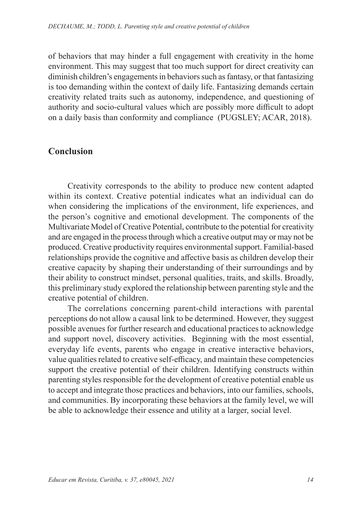of behaviors that may hinder a full engagement with creativity in the home environment. This may suggest that too much support for direct creativity can diminish children's engagements in behaviors such as fantasy, or that fantasizing is too demanding within the context of daily life. Fantasizing demands certain creativity related traits such as autonomy, independence, and questioning of authority and socio-cultural values which are possibly more difficult to adopt on a daily basis than conformity and compliance (PUGSLEY; ACAR, 2018).

### **Conclusion**

Creativity corresponds to the ability to produce new content adapted within its context. Creative potential indicates what an individual can do when considering the implications of the environment, life experiences, and the person's cognitive and emotional development. The components of the Multivariate Model of Creative Potential, contribute to the potential for creativity and are engaged in the process through which a creative output may or may not be produced. Creative productivity requires environmental support. Familial-based relationships provide the cognitive and affective basis as children develop their creative capacity by shaping their understanding of their surroundings and by their ability to construct mindset, personal qualities, traits, and skills. Broadly, this preliminary study explored the relationship between parenting style and the creative potential of children.

The correlations concerning parent-child interactions with parental perceptions do not allow a causal link to be determined. However, they suggest possible avenues for further research and educational practices to acknowledge and support novel, discovery activities. Beginning with the most essential, everyday life events, parents who engage in creative interactive behaviors, value qualities related to creative self-efficacy, and maintain these competencies support the creative potential of their children. Identifying constructs within parenting styles responsible for the development of creative potential enable us to accept and integrate those practices and behaviors, into our families, schools, and communities. By incorporating these behaviors at the family level, we will be able to acknowledge their essence and utility at a larger, social level.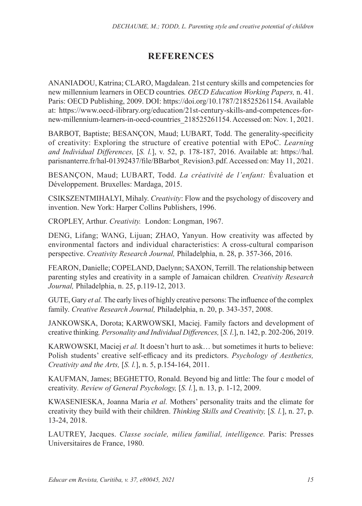## **REFERENCES**

ANANIADOU, Katrina; CLARO, Magdalean. 21st century skills and competencies for new millennium learners in OECD countries*. OECD Education Working Papers,* n. 41. Paris: OECD Publishing, 2009. DOI: https://doi.org/10.1787/218525261154. Available at: https://www.oecd-ilibrary.org/education/21st-century-skills-and-competences-fornew-millennium-learners-in-oecd-countries\_218525261154. Accessed on: Nov. 1, 2021.

BARBOT, Baptiste; BESANÇON, Maud; LUBART, Todd. The generality-specificity of creativity: Exploring the structure of creative potential with EPoC. *Learning and Individual Differences,* [*S. l.*], v. 52, p. 178-187, 2016. Available at: https://hal. parisnanterre.fr/hal-01392437/file/BBarbot\_Revision3.pdf. Accessed on: May 11, 2021.

BESANÇON, Maud; LUBART, Todd. *La créativité de l'enfant:* Évaluation et Développement. Bruxelles: Mardaga, 2015.

CSIKSZENTMIHALYI, Mihaly. *Creativity*: Flow and the psychology of discovery and invention. New York: Harper Collins Publishers, 1996.

CROPLEY, Arthur. *Creativity.* London: Longman, 1967.

DENG, Lifang; WANG, Lijuan; ZHAO, Yanyun. How creativity was affected by environmental factors and individual characteristics: A cross-cultural comparison perspective. *Creativity Research Journal,* Philadelphia, n. 28, p. 357-366, 2016.

FEARON, Danielle; COPELAND, Daelynn; SAXON, Terrill. The relationship between parenting styles and creativity in a sample of Jamaican children*. Creativity Research Journal,* Philadelphia, n. 25, p.119-12, 2013.

GUTE, Gary *et al.* The early lives of highly creative persons: The influence of the complex family. *Creative Research Journal,* Philadelphia, n. 20, p. 343-357, 2008.

JANKOWSKA, Dorota; KARWOWSKI, Maciej. Family factors and development of creative thinking*. Personality and Individual Differences,* [*S. l*.], n. 142, p. 202-206, 2019.

KARWOWSKI, Maciej *et al.* It doesn't hurt to ask… but sometimes it hurts to believe: Polish students' creative self-efficacy and its predictors. *Psychology of Aesthetics, Creativity and the Arts,* [*S. l.*], n. 5, p.154-164, 2011.

KAUFMAN, James; BEGHETTO, Ronald. Beyond big and little: The four c model of creativity*. Review of General Psychology,* [*S. l.*], n. 13, p. 1-12, 2009.

KWASENIESKA, Joanna Maria *et al.* Mothers' personality traits and the climate for creativity they build with their children. *Thinking Skills and Creativity,* [*S. l.*], n. 27, p. 13-24, 2018.

LAUTREY, Jacques. *Classe sociale, milieu familial, intelligence.* Paris: Presses Universitaires de France, 1980.